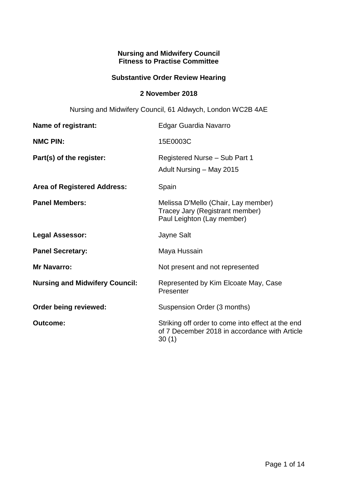## **Nursing and Midwifery Council Fitness to Practise Committee**

## **Substantive Order Review Hearing**

### **2 November 2018**

Nursing and Midwifery Council, 61 Aldwych, London WC2B 4AE

| Name of registrant:                   | <b>Edgar Guardia Navarro</b>                                                                                |
|---------------------------------------|-------------------------------------------------------------------------------------------------------------|
| <b>NMC PIN:</b>                       | 15E0003C                                                                                                    |
| Part(s) of the register:              | Registered Nurse - Sub Part 1<br>Adult Nursing - May 2015                                                   |
| <b>Area of Registered Address:</b>    | Spain                                                                                                       |
| <b>Panel Members:</b>                 | Melissa D'Mello (Chair, Lay member)<br>Tracey Jary (Registrant member)<br>Paul Leighton (Lay member)        |
| <b>Legal Assessor:</b>                | Jayne Salt                                                                                                  |
| <b>Panel Secretary:</b>               | Maya Hussain                                                                                                |
| <b>Mr Navarro:</b>                    | Not present and not represented                                                                             |
| <b>Nursing and Midwifery Council:</b> | Represented by Kim Elcoate May, Case<br>Presenter                                                           |
| Order being reviewed:                 | Suspension Order (3 months)                                                                                 |
| <b>Outcome:</b>                       | Striking off order to come into effect at the end<br>of 7 December 2018 in accordance with Article<br>30(1) |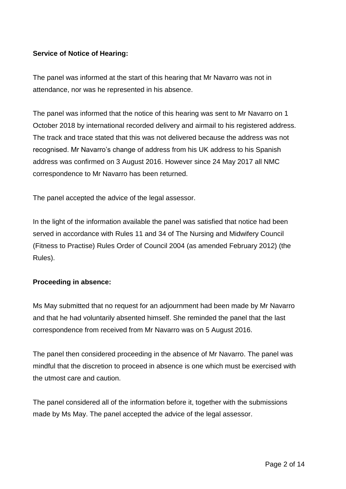# **Service of Notice of Hearing:**

The panel was informed at the start of this hearing that Mr Navarro was not in attendance, nor was he represented in his absence.

The panel was informed that the notice of this hearing was sent to Mr Navarro on 1 October 2018 by international recorded delivery and airmail to his registered address. The track and trace stated that this was not delivered because the address was not recognised. Mr Navarro's change of address from his UK address to his Spanish address was confirmed on 3 August 2016. However since 24 May 2017 all NMC correspondence to Mr Navarro has been returned.

The panel accepted the advice of the legal assessor.

In the light of the information available the panel was satisfied that notice had been served in accordance with Rules 11 and 34 of The Nursing and Midwifery Council (Fitness to Practise) Rules Order of Council 2004 (as amended February 2012) (the Rules).

### **Proceeding in absence:**

Ms May submitted that no request for an adjournment had been made by Mr Navarro and that he had voluntarily absented himself. She reminded the panel that the last correspondence from received from Mr Navarro was on 5 August 2016.

The panel then considered proceeding in the absence of Mr Navarro. The panel was mindful that the discretion to proceed in absence is one which must be exercised with the utmost care and caution.

The panel considered all of the information before it, together with the submissions made by Ms May. The panel accepted the advice of the legal assessor.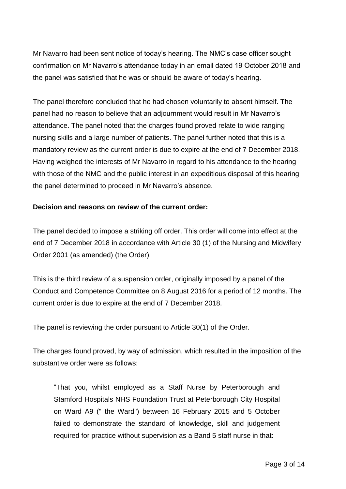Mr Navarro had been sent notice of today's hearing. The NMC's case officer sought confirmation on Mr Navarro's attendance today in an email dated 19 October 2018 and the panel was satisfied that he was or should be aware of today's hearing.

The panel therefore concluded that he had chosen voluntarily to absent himself. The panel had no reason to believe that an adjournment would result in Mr Navarro's attendance. The panel noted that the charges found proved relate to wide ranging nursing skills and a large number of patients. The panel further noted that this is a mandatory review as the current order is due to expire at the end of 7 December 2018. Having weighed the interests of Mr Navarro in regard to his attendance to the hearing with those of the NMC and the public interest in an expeditious disposal of this hearing the panel determined to proceed in Mr Navarro's absence.

### **Decision and reasons on review of the current order:**

The panel decided to impose a striking off order. This order will come into effect at the end of 7 December 2018 in accordance with Article 30 (1) of the Nursing and Midwifery Order 2001 (as amended) (the Order).

This is the third review of a suspension order, originally imposed by a panel of the Conduct and Competence Committee on 8 August 2016 for a period of 12 months. The current order is due to expire at the end of 7 December 2018.

The panel is reviewing the order pursuant to Article 30(1) of the Order.

The charges found proved, by way of admission, which resulted in the imposition of the substantive order were as follows:

"That you, whilst employed as a Staff Nurse by Peterborough and Stamford Hospitals NHS Foundation Trust at Peterborough City Hospital on Ward A9 (" the Ward") between 16 February 2015 and 5 October failed to demonstrate the standard of knowledge, skill and judgement required for practice without supervision as a Band 5 staff nurse in that: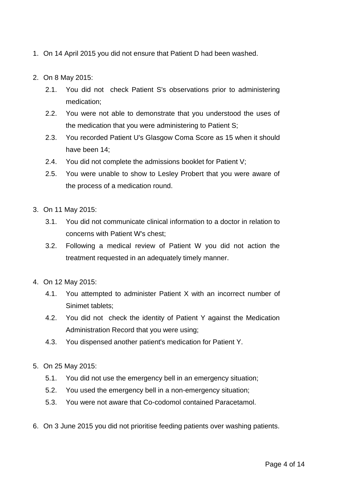- 1. On 14 April 2015 you did not ensure that Patient D had been washed.
- 2. On 8 May 2015:
	- 2.1. You did not check Patient S's observations prior to administering medication;
	- 2.2. You were not able to demonstrate that you understood the uses of the medication that you were administering to Patient S;
	- 2.3. You recorded Patient U's Glasgow Coma Score as 15 when it should have been 14;
	- 2.4. You did not complete the admissions booklet for Patient V;
	- 2.5. You were unable to show to Lesley Probert that you were aware of the process of a medication round.
- 3. On 11 May 2015:
	- 3.1. You did not communicate clinical information to a doctor in relation to concerns with Patient W's chest;
	- 3.2. Following a medical review of Patient W you did not action the treatment requested in an adequately timely manner.
- 4. On 12 May 2015:
	- 4.1. You attempted to administer Patient X with an incorrect number of Sinimet tablets;
	- 4.2. You did not check the identity of Patient Y against the Medication Administration Record that you were using;
	- 4.3. You dispensed another patient's medication for Patient Y.
- 5. On 25 May 2015:
	- 5.1. You did not use the emergency bell in an emergency situation;
	- 5.2. You used the emergency bell in a non-emergency situation;
	- 5.3. You were not aware that Co-codomol contained Paracetamol.
- 6. On 3 June 2015 you did not prioritise feeding patients over washing patients.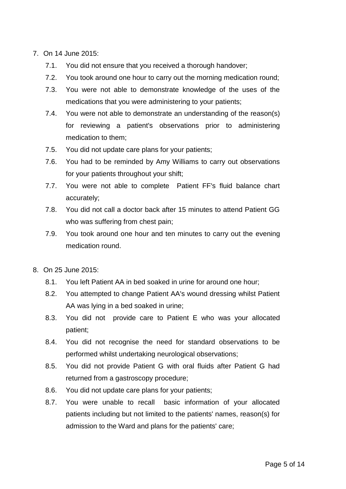- 7. On 14 June 2015:
	- 7.1. You did not ensure that you received a thorough handover;
	- 7.2. You took around one hour to carry out the morning medication round;
	- 7.3. You were not able to demonstrate knowledge of the uses of the medications that you were administering to your patients;
	- 7.4. You were not able to demonstrate an understanding of the reason(s) for reviewing a patient's observations prior to administering medication to them;
	- 7.5. You did not update care plans for your patients;
	- 7.6. You had to be reminded by Amy Williams to carry out observations for your patients throughout your shift;
	- 7.7. You were not able to complete Patient FF's fluid balance chart accurately;
	- 7.8. You did not call a doctor back after 15 minutes to attend Patient GG who was suffering from chest pain;
	- 7.9. You took around one hour and ten minutes to carry out the evening medication round.
- 8. On 25 June 2015:
	- 8.1. You left Patient AA in bed soaked in urine for around one hour;
	- 8.2. You attempted to change Patient AA's wound dressing whilst Patient AA was lying in a bed soaked in urine;
	- 8.3. You did not provide care to Patient E who was your allocated patient;
	- 8.4. You did not recognise the need for standard observations to be performed whilst undertaking neurological observations;
	- 8.5. You did not provide Patient G with oral fluids after Patient G had returned from a gastroscopy procedure;
	- 8.6. You did not update care plans for your patients;
	- 8.7. You were unable to recall basic information of your allocated patients including but not limited to the patients' names, reason(s) for admission to the Ward and plans for the patients' care;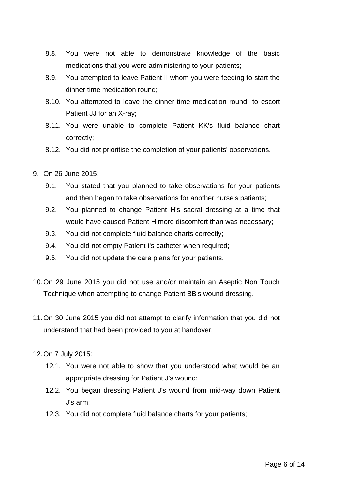- 8.8. You were not able to demonstrate knowledge of the basic medications that you were administering to your patients;
- 8.9. You attempted to leave Patient II whom you were feeding to start the dinner time medication round;
- 8.10. You attempted to leave the dinner time medication round to escort Patient JJ for an X-ray;
- 8.11. You were unable to complete Patient KK's fluid balance chart correctly;
- 8.12. You did not prioritise the completion of your patients' observations.
- 9. On 26 June 2015:
	- 9.1. You stated that you planned to take observations for your patients and then began to take observations for another nurse's patients;
	- 9.2. You planned to change Patient H's sacral dressing at a time that would have caused Patient H more discomfort than was necessary;
	- 9.3. You did not complete fluid balance charts correctly;
	- 9.4. You did not empty Patient I's catheter when required;
	- 9.5. You did not update the care plans for your patients.
- 10.On 29 June 2015 you did not use and/or maintain an Aseptic Non Touch Technique when attempting to change Patient BB's wound dressing.
- 11.On 30 June 2015 you did not attempt to clarify information that you did not understand that had been provided to you at handover.
- 12.On 7 July 2015:
	- 12.1. You were not able to show that you understood what would be an appropriate dressing for Patient J's wound;
	- 12.2. You began dressing Patient J's wound from mid-way down Patient J's arm;
	- 12.3. You did not complete fluid balance charts for your patients;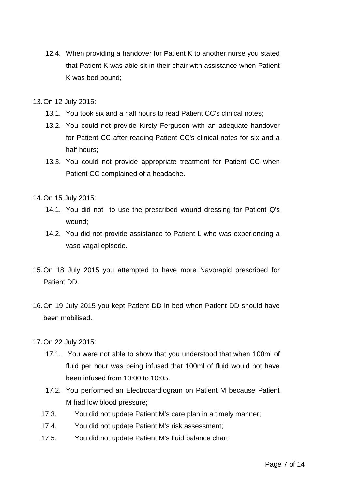12.4. When providing a handover for Patient K to another nurse you stated that Patient K was able sit in their chair with assistance when Patient K was bed bound;

13.On 12 July 2015:

- 13.1. You took six and a half hours to read Patient CC's clinical notes;
- 13.2. You could not provide Kirsty Ferguson with an adequate handover for Patient CC after reading Patient CC's clinical notes for six and a half hours;
- 13.3. You could not provide appropriate treatment for Patient CC when Patient CC complained of a headache.

14.On 15 July 2015:

- 14.1. You did not to use the prescribed wound dressing for Patient Q's wound;
- 14.2. You did not provide assistance to Patient L who was experiencing a vaso vagal episode.
- 15.On 18 July 2015 you attempted to have more Navorapid prescribed for Patient DD.
- 16.On 19 July 2015 you kept Patient DD in bed when Patient DD should have been mobilised.
- 17.On 22 July 2015:
	- 17.1. You were not able to show that you understood that when 100ml of fluid per hour was being infused that 100ml of fluid would not have been infused from 10:00 to 10:05.
	- 17.2. You performed an Electrocardiogram on Patient M because Patient M had low blood pressure;
	- 17.3. You did not update Patient M's care plan in a timely manner;
	- 17.4. You did not update Patient M's risk assessment;
	- 17.5. You did not update Patient M's fluid balance chart.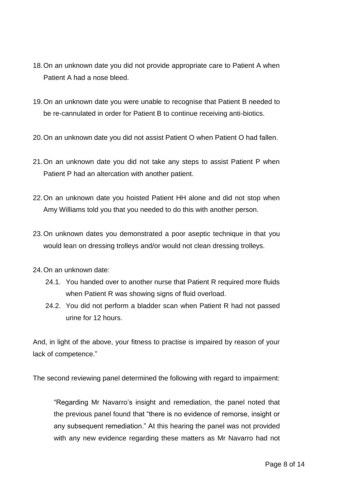- 18.On an unknown date you did not provide appropriate care to Patient A when Patient A had a nose bleed.
- 19.On an unknown date you were unable to recognise that Patient B needed to be re-cannulated in order for Patient B to continue receiving anti-biotics.
- 20.On an unknown date you did not assist Patient O when Patient O had fallen.
- 21.On an unknown date you did not take any steps to assist Patient P when Patient P had an altercation with another patient.
- 22.On an unknown date you hoisted Patient HH alone and did not stop when Amy Williams told you that you needed to do this with another person.
- 23.On unknown dates you demonstrated a poor aseptic technique in that you would lean on dressing trolleys and/or would not clean dressing trolleys.
- 24.On an unknown date:
	- 24.1. You handed over to another nurse that Patient R required more fluids when Patient R was showing signs of fluid overload.
	- 24.2. You did not perform a bladder scan when Patient R had not passed urine for 12 hours.

And, in light of the above, your fitness to practise is impaired by reason of your lack of competence."

The second reviewing panel determined the following with regard to impairment:

"Regarding Mr Navarro's insight and remediation, the panel noted that the previous panel found that "there is no evidence of remorse, insight or any subsequent remediation." At this hearing the panel was not provided with any new evidence regarding these matters as Mr Navarro had not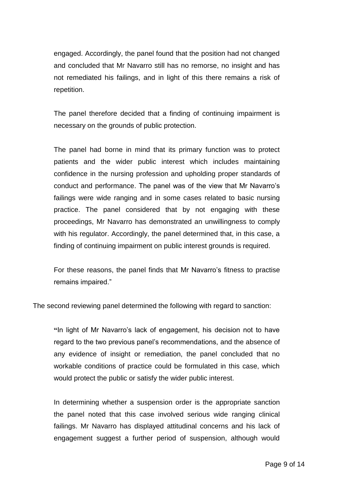engaged. Accordingly, the panel found that the position had not changed and concluded that Mr Navarro still has no remorse, no insight and has not remediated his failings, and in light of this there remains a risk of repetition.

The panel therefore decided that a finding of continuing impairment is necessary on the grounds of public protection.

The panel had borne in mind that its primary function was to protect patients and the wider public interest which includes maintaining confidence in the nursing profession and upholding proper standards of conduct and performance. The panel was of the view that Mr Navarro's failings were wide ranging and in some cases related to basic nursing practice. The panel considered that by not engaging with these proceedings, Mr Navarro has demonstrated an unwillingness to comply with his regulator. Accordingly, the panel determined that, in this case, a finding of continuing impairment on public interest grounds is required.

For these reasons, the panel finds that Mr Navarro's fitness to practise remains impaired."

The second reviewing panel determined the following with regard to sanction:

**"**In light of Mr Navarro's lack of engagement, his decision not to have regard to the two previous panel's recommendations, and the absence of any evidence of insight or remediation, the panel concluded that no workable conditions of practice could be formulated in this case, which would protect the public or satisfy the wider public interest.

In determining whether a suspension order is the appropriate sanction the panel noted that this case involved serious wide ranging clinical failings. Mr Navarro has displayed attitudinal concerns and his lack of engagement suggest a further period of suspension, although would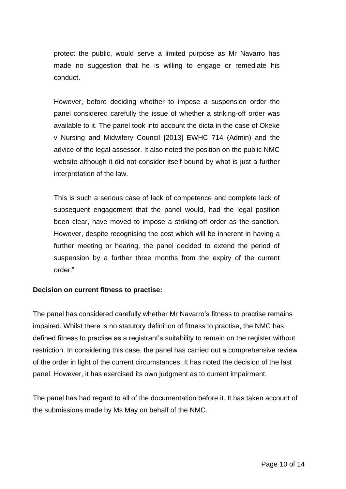protect the public, would serve a limited purpose as Mr Navarro has made no suggestion that he is willing to engage or remediate his conduct.

However, before deciding whether to impose a suspension order the panel considered carefully the issue of whether a striking-off order was available to it. The panel took into account the dicta in the case of Okeke v Nursing and Midwifery Council [2013] EWHC 714 (Admin) and the advice of the legal assessor. It also noted the position on the public NMC website although it did not consider itself bound by what is just a further interpretation of the law.

This is such a serious case of lack of competence and complete lack of subsequent engagement that the panel would, had the legal position been clear, have moved to impose a striking-off order as the sanction. However, despite recognising the cost which will be inherent in having a further meeting or hearing, the panel decided to extend the period of suspension by a further three months from the expiry of the current order."

### **Decision on current fitness to practise:**

The panel has considered carefully whether Mr Navarro's fitness to practise remains impaired. Whilst there is no statutory definition of fitness to practise, the NMC has defined fitness to practise as a registrant's suitability to remain on the register without restriction. In considering this case, the panel has carried out a comprehensive review of the order in light of the current circumstances. It has noted the decision of the last panel. However, it has exercised its own judgment as to current impairment.

The panel has had regard to all of the documentation before it. It has taken account of the submissions made by Ms May on behalf of the NMC.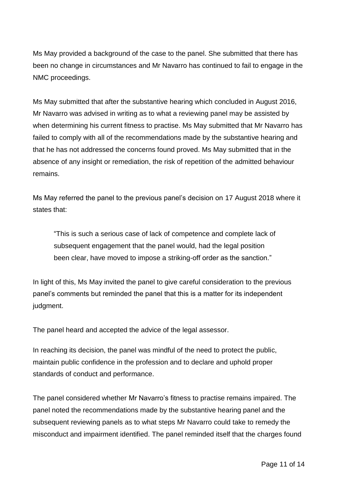Ms May provided a background of the case to the panel. She submitted that there has been no change in circumstances and Mr Navarro has continued to fail to engage in the NMC proceedings.

Ms May submitted that after the substantive hearing which concluded in August 2016, Mr Navarro was advised in writing as to what a reviewing panel may be assisted by when determining his current fitness to practise. Ms May submitted that Mr Navarro has failed to comply with all of the recommendations made by the substantive hearing and that he has not addressed the concerns found proved. Ms May submitted that in the absence of any insight or remediation, the risk of repetition of the admitted behaviour remains.

Ms May referred the panel to the previous panel's decision on 17 August 2018 where it states that:

"This is such a serious case of lack of competence and complete lack of subsequent engagement that the panel would, had the legal position been clear, have moved to impose a striking-off order as the sanction."

In light of this, Ms May invited the panel to give careful consideration to the previous panel's comments but reminded the panel that this is a matter for its independent judgment.

The panel heard and accepted the advice of the legal assessor.

In reaching its decision, the panel was mindful of the need to protect the public, maintain public confidence in the profession and to declare and uphold proper standards of conduct and performance.

The panel considered whether Mr Navarro's fitness to practise remains impaired. The panel noted the recommendations made by the substantive hearing panel and the subsequent reviewing panels as to what steps Mr Navarro could take to remedy the misconduct and impairment identified. The panel reminded itself that the charges found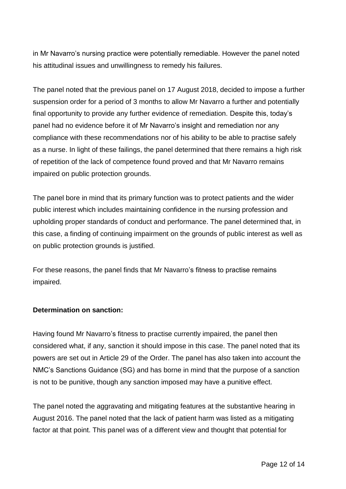in Mr Navarro's nursing practice were potentially remediable. However the panel noted his attitudinal issues and unwillingness to remedy his failures.

The panel noted that the previous panel on 17 August 2018, decided to impose a further suspension order for a period of 3 months to allow Mr Navarro a further and potentially final opportunity to provide any further evidence of remediation. Despite this, today's panel had no evidence before it of Mr Navarro's insight and remediation nor any compliance with these recommendations nor of his ability to be able to practise safely as a nurse. In light of these failings, the panel determined that there remains a high risk of repetition of the lack of competence found proved and that Mr Navarro remains impaired on public protection grounds.

The panel bore in mind that its primary function was to protect patients and the wider public interest which includes maintaining confidence in the nursing profession and upholding proper standards of conduct and performance. The panel determined that, in this case, a finding of continuing impairment on the grounds of public interest as well as on public protection grounds is justified.

For these reasons, the panel finds that Mr Navarro's fitness to practise remains impaired.

### **Determination on sanction:**

Having found Mr Navarro's fitness to practise currently impaired, the panel then considered what, if any, sanction it should impose in this case. The panel noted that its powers are set out in Article 29 of the Order. The panel has also taken into account the NMC's Sanctions Guidance (SG) and has borne in mind that the purpose of a sanction is not to be punitive, though any sanction imposed may have a punitive effect.

The panel noted the aggravating and mitigating features at the substantive hearing in August 2016. The panel noted that the lack of patient harm was listed as a mitigating factor at that point. This panel was of a different view and thought that potential for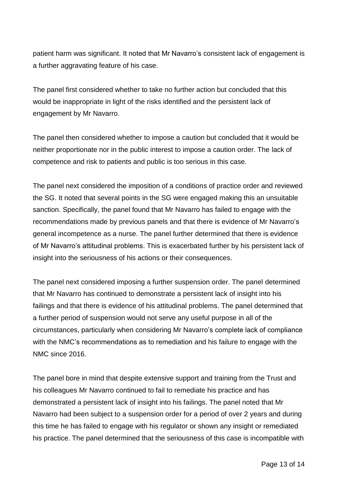patient harm was significant. It noted that Mr Navarro's consistent lack of engagement is a further aggravating feature of his case.

The panel first considered whether to take no further action but concluded that this would be inappropriate in light of the risks identified and the persistent lack of engagement by Mr Navarro.

The panel then considered whether to impose a caution but concluded that it would be neither proportionate nor in the public interest to impose a caution order. The lack of competence and risk to patients and public is too serious in this case.

The panel next considered the imposition of a conditions of practice order and reviewed the SG. It noted that several points in the SG were engaged making this an unsuitable sanction. Specifically, the panel found that Mr Navarro has failed to engage with the recommendations made by previous panels and that there is evidence of Mr Navarro's general incompetence as a nurse. The panel further determined that there is evidence of Mr Navarro's attitudinal problems. This is exacerbated further by his persistent lack of insight into the seriousness of his actions or their consequences.

The panel next considered imposing a further suspension order. The panel determined that Mr Navarro has continued to demonstrate a persistent lack of insight into his failings and that there is evidence of his attitudinal problems. The panel determined that a further period of suspension would not serve any useful purpose in all of the circumstances, particularly when considering Mr Navarro's complete lack of compliance with the NMC's recommendations as to remediation and his failure to engage with the NMC since 2016.

The panel bore in mind that despite extensive support and training from the Trust and his colleagues Mr Navarro continued to fail to remediate his practice and has demonstrated a persistent lack of insight into his failings. The panel noted that Mr Navarro had been subject to a suspension order for a period of over 2 years and during this time he has failed to engage with his regulator or shown any insight or remediated his practice. The panel determined that the seriousness of this case is incompatible with